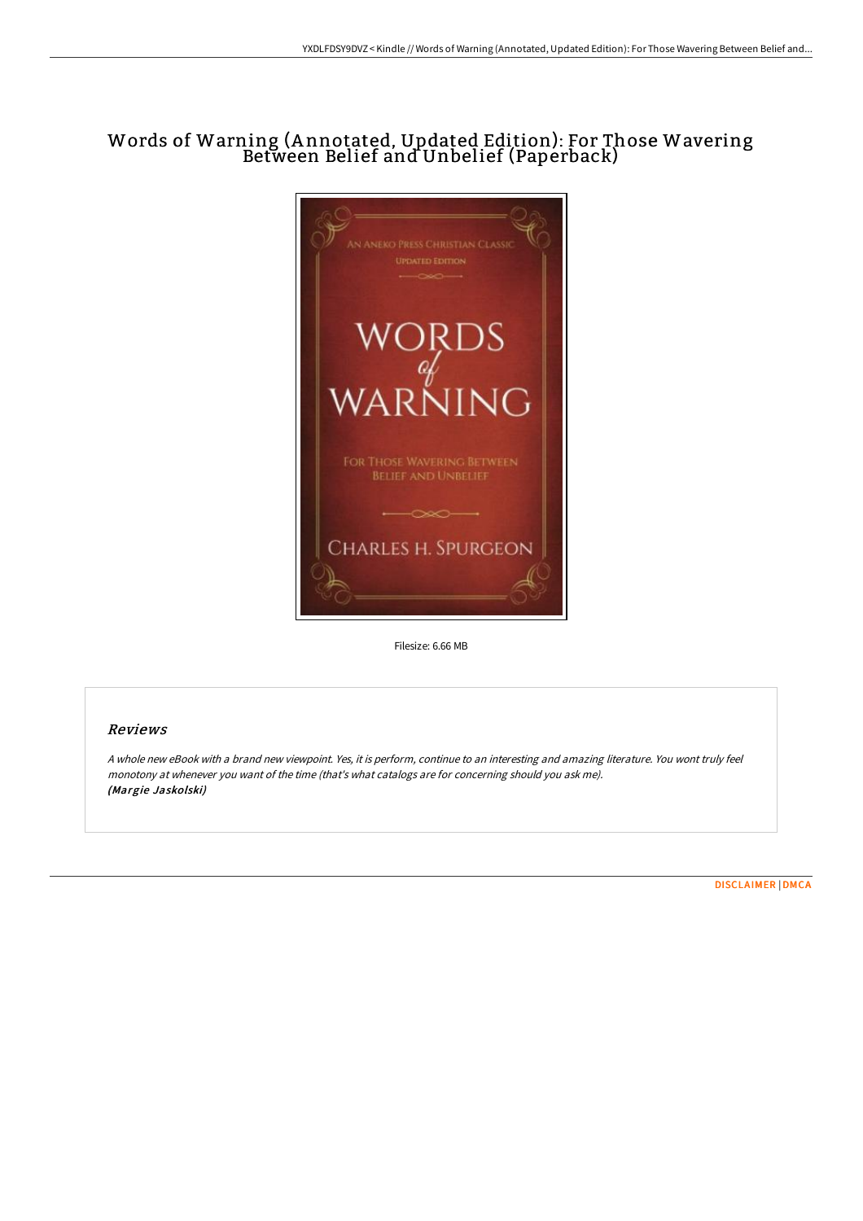# Words of Warning (A nnotated, Updated Edition): For Those Wavering Between Belief and Unbelief (Paperback)



Filesize: 6.66 MB

### Reviews

<sup>A</sup> whole new eBook with <sup>a</sup> brand new viewpoint. Yes, it is perform, continue to an interesting and amazing literature. You wont truly feel monotony at whenever you want of the time (that's what catalogs are for concerning should you ask me). (Margie Jaskolski)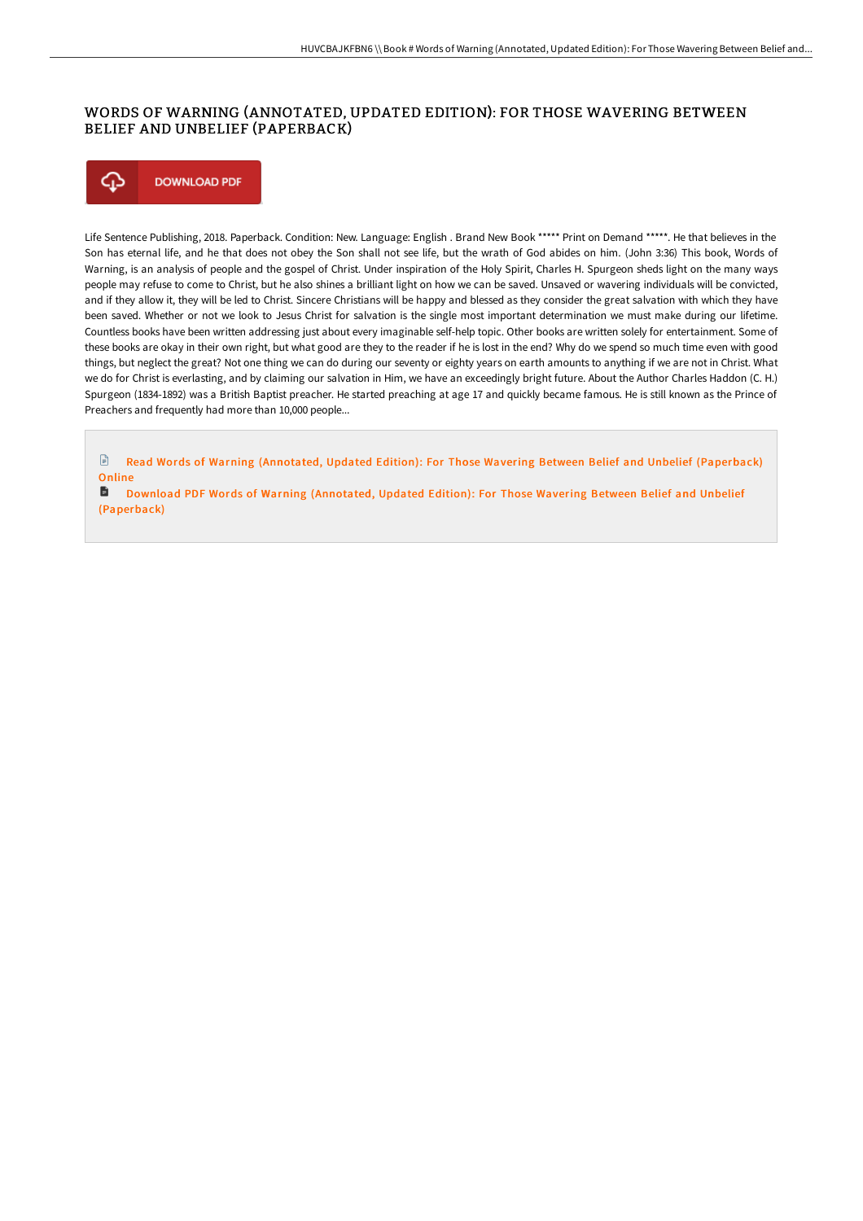## WORDS OF WARNING (ANNOTATED, UPDATED EDITION): FOR THOSE WAVERING BETWEEN BELIEF AND UNBELIEF (PAPERBACK)



Life Sentence Publishing, 2018. Paperback. Condition: New. Language: English . Brand New Book \*\*\*\*\* Print on Demand \*\*\*\*\*. He that believes in the Son has eternal life, and he that does not obey the Son shall not see life, but the wrath of God abides on him. (John 3:36) This book, Words of Warning, is an analysis of people and the gospel of Christ. Under inspiration of the Holy Spirit, Charles H. Spurgeon sheds light on the many ways people may refuse to come to Christ, but he also shines a brilliant light on how we can be saved. Unsaved or wavering individuals will be convicted, and if they allow it, they will be led to Christ. Sincere Christians will be happy and blessed as they consider the great salvation with which they have been saved. Whether or not we look to Jesus Christ for salvation is the single most important determination we must make during our lifetime. Countless books have been written addressing just about every imaginable self-help topic. Other books are written solely for entertainment. Some of these books are okay in their own right, but what good are they to the reader if he is lost in the end? Why do we spend so much time even with good things, but neglect the great? Not one thing we can do during our seventy or eighty years on earth amounts to anything if we are not in Christ. What we do for Christ is everlasting, and by claiming our salvation in Him, we have an exceedingly bright future. About the Author Charles Haddon (C. H.) Spurgeon (1834-1892) was a British Baptist preacher. He started preaching at age 17 and quickly became famous. He is still known as the Prince of Preachers and frequently had more than 10,000 people...

Read Words of Warning (Annotated, Updated Edition): For Those Wavering Between Belief and Unbelief [\(Paperback\)](http://www.bookdirs.com/words-of-warning-annotated-updated-edition-for-t.html) Online

Download PDF Words of Warning (Annotated, Updated Edition): For Those Wavering Between Belief and Unbelief [\(Paperback\)](http://www.bookdirs.com/words-of-warning-annotated-updated-edition-for-t.html)